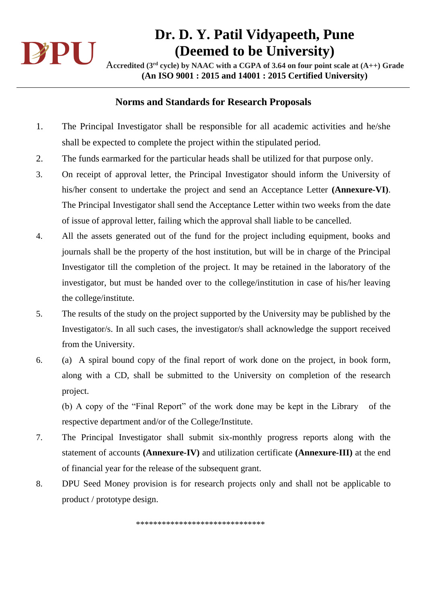

# **Dr. D. Y. Patil Vidyapeeth, Pune (Deemed to be University)**

A**ccredited (3rd cycle) by NAAC with a CGPA of 3.64 on four point scale at (A++) Grade (An ISO 9001 : 2015 and 14001 : 2015 Certified University)**

#### **Norms and Standards for Research Proposals**

- 1. The Principal Investigator shall be responsible for all academic activities and he/she shall be expected to complete the project within the stipulated period.
- 2. The funds earmarked for the particular heads shall be utilized for that purpose only.
- 3. On receipt of approval letter, the Principal Investigator should inform the University of his/her consent to undertake the project and send an Acceptance Letter **(Annexure-VI)**. The Principal Investigator shall send the Acceptance Letter within two weeks from the date of issue of approval letter, failing which the approval shall liable to be cancelled.
- 4. All the assets generated out of the fund for the project including equipment, books and journals shall be the property of the host institution, but will be in charge of the Principal Investigator till the completion of the project. It may be retained in the laboratory of the investigator, but must be handed over to the college/institution in case of his/her leaving the college/institute.
- 5. The results of the study on the project supported by the University may be published by the Investigator/s. In all such cases, the investigator/s shall acknowledge the support received from the University.
- 6. (a) A spiral bound copy of the final report of work done on the project, in book form, along with a CD, shall be submitted to the University on completion of the research project.

 (b) A copy of the "Final Report" of the work done may be kept in the Library of the respective department and/or of the College/Institute.

- 7. The Principal Investigator shall submit six-monthly progress reports along with the statement of accounts **(Annexure-IV)** and utilization certificate **(Annexure-III)** at the end of financial year for the release of the subsequent grant.
- 8. DPU Seed Money provision is for research projects only and shall not be applicable to product / prototype design.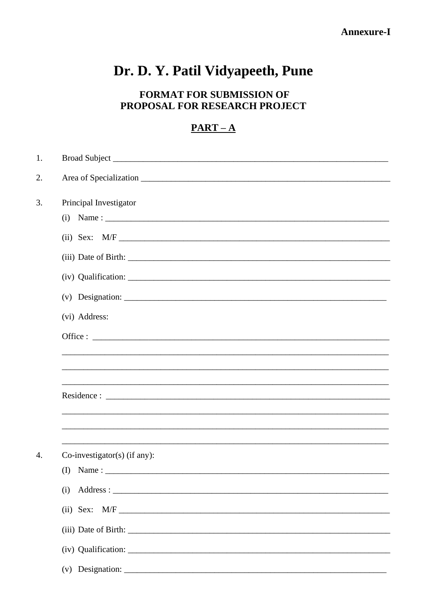#### **Annexure-I**

# Dr. D. Y. Patil Vidyapeeth, Pune

### FORMAT FOR SUBMISSION OF PROPOSAL FOR RESEARCH PROJECT

#### $PART-A$

| 1. |                                                                                  |
|----|----------------------------------------------------------------------------------|
| 2. |                                                                                  |
| 3. | Principal Investigator                                                           |
|    |                                                                                  |
|    | (ii) Sex: $M/F$                                                                  |
|    |                                                                                  |
|    |                                                                                  |
|    |                                                                                  |
|    | (vi) Address:                                                                    |
|    |                                                                                  |
|    | ,我们也不能在这里的时候,我们也不能在这里的时候,我们也不能在这里的时候,我们也不能会在这里的时候,我们也不能会在这里的时候,我们也不能会在这里的时候,我们也不 |
|    |                                                                                  |
| 4. |                                                                                  |
|    | Co-investigator(s) (if any):                                                     |
|    | (I) Name: $\frac{1}{\sqrt{1-\frac{1}{2}}}\left  \frac{1}{2} \right $             |
|    | (i)                                                                              |
|    | (ii) Sex: $M/F$                                                                  |
|    |                                                                                  |
|    |                                                                                  |
|    |                                                                                  |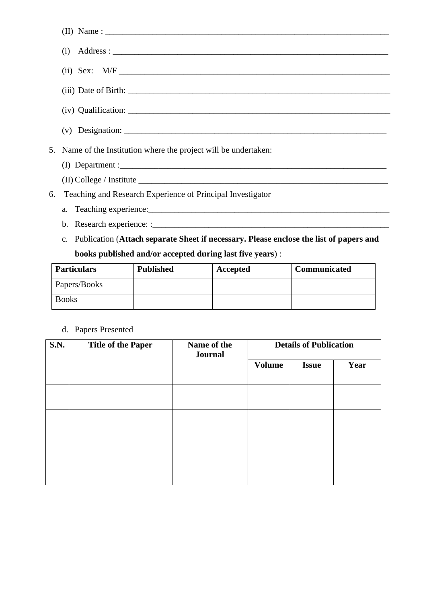| $(i)$ Address:                                                                                                                                                                                                                                                                                                                                                                                       |
|------------------------------------------------------------------------------------------------------------------------------------------------------------------------------------------------------------------------------------------------------------------------------------------------------------------------------------------------------------------------------------------------------|
|                                                                                                                                                                                                                                                                                                                                                                                                      |
|                                                                                                                                                                                                                                                                                                                                                                                                      |
|                                                                                                                                                                                                                                                                                                                                                                                                      |
| (v) Designation: $\frac{1}{\sqrt{1-\frac{1}{2}}\sqrt{1-\frac{1}{2}}\sqrt{1-\frac{1}{2}}\sqrt{1-\frac{1}{2}}\sqrt{1-\frac{1}{2}}\sqrt{1-\frac{1}{2}}\sqrt{1-\frac{1}{2}}\sqrt{1-\frac{1}{2}}\sqrt{1-\frac{1}{2}}\sqrt{1-\frac{1}{2}}\sqrt{1-\frac{1}{2}}\sqrt{1-\frac{1}{2}}\sqrt{1-\frac{1}{2}}\sqrt{1-\frac{1}{2}}\sqrt{1-\frac{1}{2}}\sqrt{1-\frac{1}{2}}\sqrt{1-\frac{1}{2}}\sqrt{1-\frac{1}{2}}$ |
| 5. Name of the Institution where the project will be undertaken:                                                                                                                                                                                                                                                                                                                                     |
|                                                                                                                                                                                                                                                                                                                                                                                                      |
|                                                                                                                                                                                                                                                                                                                                                                                                      |
| 6. Teaching and Research Experience of Principal Investigator                                                                                                                                                                                                                                                                                                                                        |
|                                                                                                                                                                                                                                                                                                                                                                                                      |
|                                                                                                                                                                                                                                                                                                                                                                                                      |

c. Publication (**Attach separate Sheet if necessary. Please enclose the list of papers and books published and/or accepted during last five years**) :

| <b>Particulars</b> | <b>Published</b> | Accepted | Communicated |
|--------------------|------------------|----------|--------------|
| Papers/Books       |                  |          |              |
| <b>Books</b>       |                  |          |              |

| d. Papers Presented |  |
|---------------------|--|
|---------------------|--|

| <b>S.N.</b> | <b>Title of the Paper</b> | Name of the<br>Journal | <b>Details of Publication</b> |              |      |
|-------------|---------------------------|------------------------|-------------------------------|--------------|------|
|             |                           |                        | <b>Volume</b>                 | <b>Issue</b> | Year |
|             |                           |                        |                               |              |      |
|             |                           |                        |                               |              |      |
|             |                           |                        |                               |              |      |
|             |                           |                        |                               |              |      |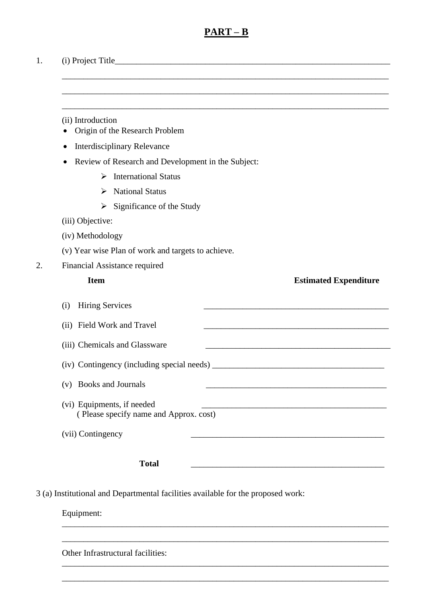#### **PART – B**

\_\_\_\_\_\_\_\_\_\_\_\_\_\_\_\_\_\_\_\_\_\_\_\_\_\_\_\_\_\_\_\_\_\_\_\_\_\_\_\_\_\_\_\_\_\_\_\_\_\_\_\_\_\_\_\_\_\_\_\_\_\_\_\_\_\_\_\_\_\_\_\_\_\_\_\_

\_\_\_\_\_\_\_\_\_\_\_\_\_\_\_\_\_\_\_\_\_\_\_\_\_\_\_\_\_\_\_\_\_\_\_\_\_\_\_\_\_\_\_\_\_\_\_\_\_\_\_\_\_\_\_\_\_\_\_\_\_\_\_\_\_\_\_\_\_\_\_\_\_\_\_\_

\_\_\_\_\_\_\_\_\_\_\_\_\_\_\_\_\_\_\_\_\_\_\_\_\_\_\_\_\_\_\_\_\_\_\_\_\_\_\_\_\_\_\_\_\_\_\_\_\_\_\_\_\_\_\_\_\_\_\_\_\_\_\_\_\_\_\_\_\_\_\_\_\_\_\_\_

1. (i) Project Title

(ii) Introduction

- Origin of the Research Problem
- Interdisciplinary Relevance
- Review of Research and Development in the Subject:
	- ➢ International Status
	- ➢ National Status
	- $\triangleright$  Significance of the Study
- (iii) Objective:
- (iv) Methodology
- (v) Year wise Plan of work and targets to achieve.
- 2. Financial Assistance required

| <b>Item</b>                                                          | <b>Estimated Expenditure</b> |
|----------------------------------------------------------------------|------------------------------|
| <b>Hiring Services</b><br>(i)                                        |                              |
| (ii) Field Work and Travel                                           |                              |
| (iii) Chemicals and Glassware                                        |                              |
| (iv) Contingency (including special needs)                           |                              |
| (v) Books and Journals                                               |                              |
| (vi) Equipments, if needed<br>(Please specify name and Approx. cost) |                              |
| (vii) Contingency                                                    |                              |
| <b>Total</b>                                                         |                              |

\_\_\_\_\_\_\_\_\_\_\_\_\_\_\_\_\_\_\_\_\_\_\_\_\_\_\_\_\_\_\_\_\_\_\_\_\_\_\_\_\_\_\_\_\_\_\_\_\_\_\_\_\_\_\_\_\_\_\_\_\_\_\_\_\_\_\_\_\_\_\_\_\_\_\_\_

\_\_\_\_\_\_\_\_\_\_\_\_\_\_\_\_\_\_\_\_\_\_\_\_\_\_\_\_\_\_\_\_\_\_\_\_\_\_\_\_\_\_\_\_\_\_\_\_\_\_\_\_\_\_\_\_\_\_\_\_\_\_\_\_\_\_\_\_\_\_\_\_\_\_\_\_

\_\_\_\_\_\_\_\_\_\_\_\_\_\_\_\_\_\_\_\_\_\_\_\_\_\_\_\_\_\_\_\_\_\_\_\_\_\_\_\_\_\_\_\_\_\_\_\_\_\_\_\_\_\_\_\_\_\_\_\_\_\_\_\_\_\_\_\_\_\_\_\_\_\_\_\_

\_\_\_\_\_\_\_\_\_\_\_\_\_\_\_\_\_\_\_\_\_\_\_\_\_\_\_\_\_\_\_\_\_\_\_\_\_\_\_\_\_\_\_\_\_\_\_\_\_\_\_\_\_\_\_\_\_\_\_\_\_\_\_\_\_\_\_\_\_\_\_\_\_\_\_\_

3 (a) Institutional and Departmental facilities available for the proposed work:

Equipment:

Other Infrastructural facilities: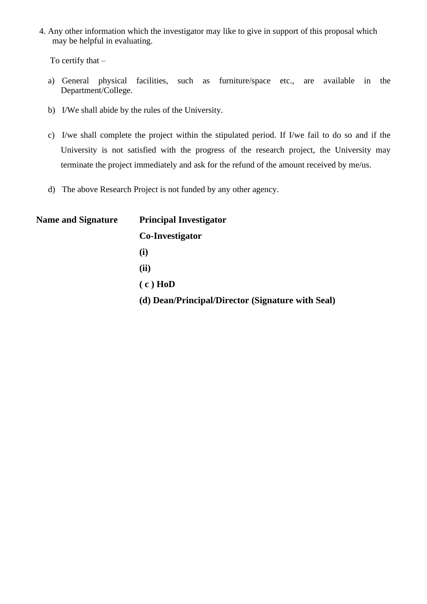4. Any other information which the investigator may like to give in support of this proposal which may be helpful in evaluating.

To certify that –

- a) General physical facilities, such as furniture/space etc., are available in the Department/College.
- b) I/We shall abide by the rules of the University.
- c) I/we shall complete the project within the stipulated period. If I/we fail to do so and if the University is not satisfied with the progress of the research project, the University may terminate the project immediately and ask for the refund of the amount received by me/us.
- d) The above Research Project is not funded by any other agency.

| <b>Name and Signature</b> | <b>Principal Investigator</b>                     |  |  |
|---------------------------|---------------------------------------------------|--|--|
|                           | Co-Investigator                                   |  |  |
|                           | $\bf(i)$                                          |  |  |
|                           | (ii)                                              |  |  |
|                           | $(c)$ HoD                                         |  |  |
|                           | (d) Dean/Principal/Director (Signature with Seal) |  |  |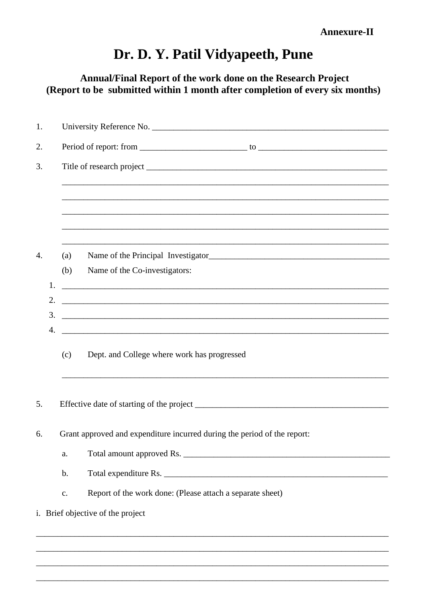Annual/Final Report of the work done on the Research Project (Report to be submitted within 1 month after completion of every six months)

| 1. |          |     |                                                                                                                      |  |  |  |  |
|----|----------|-----|----------------------------------------------------------------------------------------------------------------------|--|--|--|--|
| 2. |          |     |                                                                                                                      |  |  |  |  |
| 3. |          |     |                                                                                                                      |  |  |  |  |
|    |          |     |                                                                                                                      |  |  |  |  |
|    |          |     | ,我们也不能在这里的时候,我们也不能在这里的时候,我们也不能在这里的时候,我们也不能会在这里的时候,我们也不能会在这里的时候,我们也不能会在这里的时候,我们也不能                                    |  |  |  |  |
|    |          |     |                                                                                                                      |  |  |  |  |
|    |          |     |                                                                                                                      |  |  |  |  |
| 4. |          | (a) |                                                                                                                      |  |  |  |  |
|    |          | (b) | Name of the Co-investigators:                                                                                        |  |  |  |  |
|    | 1.       |     |                                                                                                                      |  |  |  |  |
|    | 2.<br>3. |     | <u> 2000 - Jan James James Jan James James James James James James James James James James James James James Jam</u> |  |  |  |  |
|    |          |     |                                                                                                                      |  |  |  |  |
|    |          | (c) | Dept. and College where work has progressed                                                                          |  |  |  |  |
| 5. |          |     |                                                                                                                      |  |  |  |  |
| 6. |          |     | Grant approved and expenditure incurred during the period of the report:                                             |  |  |  |  |
|    |          | a.  |                                                                                                                      |  |  |  |  |
|    |          | b.  |                                                                                                                      |  |  |  |  |
|    |          | c.  | Report of the work done: (Please attach a separate sheet)                                                            |  |  |  |  |
|    |          |     | i. Brief objective of the project                                                                                    |  |  |  |  |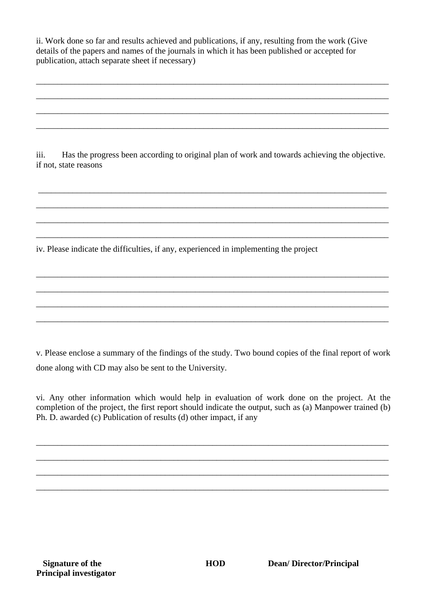ii. Work done so far and results achieved and publications, if any, resulting from the work (Give details of the papers and names of the journals in which it has been published or accepted for publication, attach separate sheet if necessary)

\_\_\_\_\_\_\_\_\_\_\_\_\_\_\_\_\_\_\_\_\_\_\_\_\_\_\_\_\_\_\_\_\_\_\_\_\_\_\_\_\_\_\_\_\_\_\_\_\_\_\_\_\_\_\_\_\_\_\_\_\_\_\_\_\_\_\_\_\_\_\_\_\_\_\_\_\_\_\_\_\_\_

\_\_\_\_\_\_\_\_\_\_\_\_\_\_\_\_\_\_\_\_\_\_\_\_\_\_\_\_\_\_\_\_\_\_\_\_\_\_\_\_\_\_\_\_\_\_\_\_\_\_\_\_\_\_\_\_\_\_\_\_\_\_\_\_\_\_\_\_\_\_\_\_\_\_\_\_\_\_\_\_\_\_

\_\_\_\_\_\_\_\_\_\_\_\_\_\_\_\_\_\_\_\_\_\_\_\_\_\_\_\_\_\_\_\_\_\_\_\_\_\_\_\_\_\_\_\_\_\_\_\_\_\_\_\_\_\_\_\_\_\_\_\_\_\_\_\_\_\_\_\_\_\_\_\_\_\_\_\_\_\_\_\_\_\_

\_\_\_\_\_\_\_\_\_\_\_\_\_\_\_\_\_\_\_\_\_\_\_\_\_\_\_\_\_\_\_\_\_\_\_\_\_\_\_\_\_\_\_\_\_\_\_\_\_\_\_\_\_\_\_\_\_\_\_\_\_\_\_\_\_\_\_\_\_\_\_\_\_\_\_\_\_\_\_\_\_\_

iii. Has the progress been according to original plan of work and towards achieving the objective. if not, state reasons

\_\_\_\_\_\_\_\_\_\_\_\_\_\_\_\_\_\_\_\_\_\_\_\_\_\_\_\_\_\_\_\_\_\_\_\_\_\_\_\_\_\_\_\_\_\_\_\_\_\_\_\_\_\_\_\_\_\_\_\_\_\_\_\_\_\_\_\_\_\_\_\_\_\_\_\_\_\_\_\_\_

\_\_\_\_\_\_\_\_\_\_\_\_\_\_\_\_\_\_\_\_\_\_\_\_\_\_\_\_\_\_\_\_\_\_\_\_\_\_\_\_\_\_\_\_\_\_\_\_\_\_\_\_\_\_\_\_\_\_\_\_\_\_\_\_\_\_\_\_\_\_\_\_\_\_\_\_\_\_\_\_\_\_

\_\_\_\_\_\_\_\_\_\_\_\_\_\_\_\_\_\_\_\_\_\_\_\_\_\_\_\_\_\_\_\_\_\_\_\_\_\_\_\_\_\_\_\_\_\_\_\_\_\_\_\_\_\_\_\_\_\_\_\_\_\_\_\_\_\_\_\_\_\_\_\_\_\_\_\_\_\_\_\_\_\_

\_\_\_\_\_\_\_\_\_\_\_\_\_\_\_\_\_\_\_\_\_\_\_\_\_\_\_\_\_\_\_\_\_\_\_\_\_\_\_\_\_\_\_\_\_\_\_\_\_\_\_\_\_\_\_\_\_\_\_\_\_\_\_\_\_\_\_\_\_\_\_\_\_\_\_\_\_\_\_\_\_\_

\_\_\_\_\_\_\_\_\_\_\_\_\_\_\_\_\_\_\_\_\_\_\_\_\_\_\_\_\_\_\_\_\_\_\_\_\_\_\_\_\_\_\_\_\_\_\_\_\_\_\_\_\_\_\_\_\_\_\_\_\_\_\_\_\_\_\_\_\_\_\_\_\_\_\_\_\_\_\_\_\_\_

\_\_\_\_\_\_\_\_\_\_\_\_\_\_\_\_\_\_\_\_\_\_\_\_\_\_\_\_\_\_\_\_\_\_\_\_\_\_\_\_\_\_\_\_\_\_\_\_\_\_\_\_\_\_\_\_\_\_\_\_\_\_\_\_\_\_\_\_\_\_\_\_\_\_\_\_\_\_\_\_\_\_

\_\_\_\_\_\_\_\_\_\_\_\_\_\_\_\_\_\_\_\_\_\_\_\_\_\_\_\_\_\_\_\_\_\_\_\_\_\_\_\_\_\_\_\_\_\_\_\_\_\_\_\_\_\_\_\_\_\_\_\_\_\_\_\_\_\_\_\_\_\_\_\_\_\_\_\_\_\_\_\_\_\_

\_\_\_\_\_\_\_\_\_\_\_\_\_\_\_\_\_\_\_\_\_\_\_\_\_\_\_\_\_\_\_\_\_\_\_\_\_\_\_\_\_\_\_\_\_\_\_\_\_\_\_\_\_\_\_\_\_\_\_\_\_\_\_\_\_\_\_\_\_\_\_\_\_\_\_\_\_\_\_\_\_\_

iv. Please indicate the difficulties, if any, experienced in implementing the project

v. Please enclose a summary of the findings of the study. Two bound copies of the final report of work done along with CD may also be sent to the University.

vi. Any other information which would help in evaluation of work done on the project. At the completion of the project, the first report should indicate the output, such as (a) Manpower trained (b) Ph. D. awarded (c) Publication of results (d) other impact, if any

\_\_\_\_\_\_\_\_\_\_\_\_\_\_\_\_\_\_\_\_\_\_\_\_\_\_\_\_\_\_\_\_\_\_\_\_\_\_\_\_\_\_\_\_\_\_\_\_\_\_\_\_\_\_\_\_\_\_\_\_\_\_\_\_\_\_\_\_\_\_\_\_\_\_\_\_\_\_\_\_\_\_

\_\_\_\_\_\_\_\_\_\_\_\_\_\_\_\_\_\_\_\_\_\_\_\_\_\_\_\_\_\_\_\_\_\_\_\_\_\_\_\_\_\_\_\_\_\_\_\_\_\_\_\_\_\_\_\_\_\_\_\_\_\_\_\_\_\_\_\_\_\_\_\_\_\_\_\_\_\_\_\_\_\_

\_\_\_\_\_\_\_\_\_\_\_\_\_\_\_\_\_\_\_\_\_\_\_\_\_\_\_\_\_\_\_\_\_\_\_\_\_\_\_\_\_\_\_\_\_\_\_\_\_\_\_\_\_\_\_\_\_\_\_\_\_\_\_\_\_\_\_\_\_\_\_\_\_\_\_\_\_\_\_\_\_\_

\_\_\_\_\_\_\_\_\_\_\_\_\_\_\_\_\_\_\_\_\_\_\_\_\_\_\_\_\_\_\_\_\_\_\_\_\_\_\_\_\_\_\_\_\_\_\_\_\_\_\_\_\_\_\_\_\_\_\_\_\_\_\_\_\_\_\_\_\_\_\_\_\_\_\_\_\_\_\_\_\_\_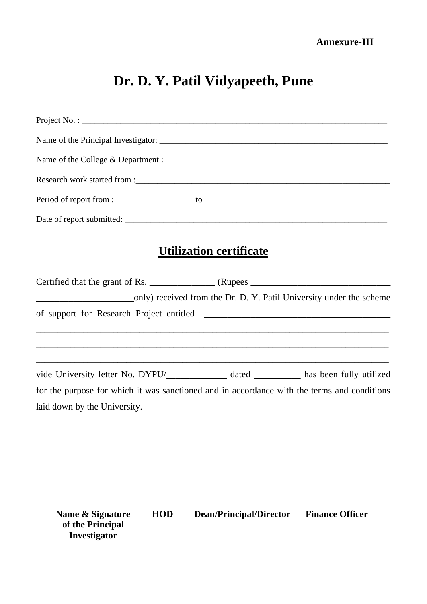| <b>Utilization certificate</b>                                                              |
|---------------------------------------------------------------------------------------------|
|                                                                                             |
|                                                                                             |
| the control of the control of the control of the control of the control of the control of   |
| vide University letter No. DYPU/____________ dated _________ has been fully utilized        |
| laid down by the University.                                                                |
| for the purpose for which it was sanctioned and in accordance with the terms and conditions |

| Name & Signature | HOD | Dean/Principal/Director | <b>Finance Officer</b> |
|------------------|-----|-------------------------|------------------------|
| of the Principal |     |                         |                        |
| Investigator     |     |                         |                        |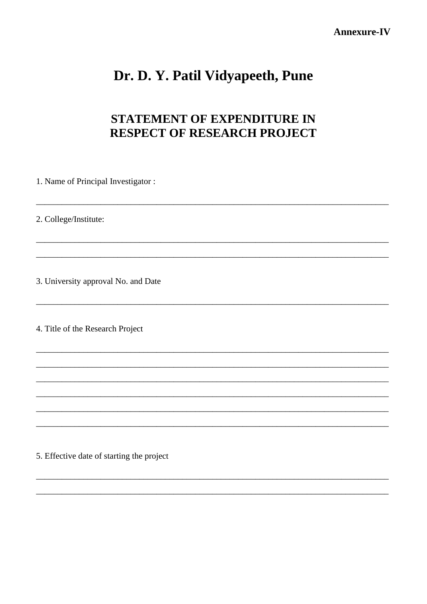#### Annexure-IV

## Dr. D. Y. Patil Vidyapeeth, Pune

### STATEMENT OF EXPENDITURE IN **RESPECT OF RESEARCH PROJECT**

1. Name of Principal Investigator:

2. College/Institute:

3. University approval No. and Date

4. Title of the Research Project

5. Effective date of starting the project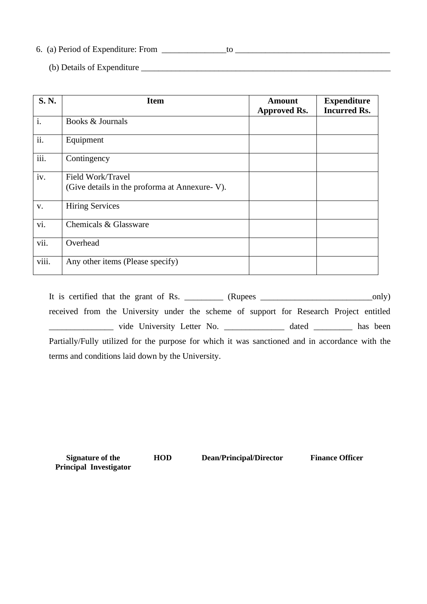6. (a) Period of Expenditure: From \_\_\_\_\_\_\_\_\_\_\_\_\_\_\_to \_\_\_\_\_\_\_\_\_\_\_\_\_\_\_\_\_\_\_\_\_\_\_\_\_\_\_\_\_\_\_\_\_\_\_\_

(b) Details of Expenditure \_\_\_\_\_\_\_\_\_\_\_\_\_\_\_\_\_\_\_\_\_\_\_\_\_\_\_\_\_\_\_\_\_\_\_\_\_\_\_\_\_\_\_\_\_\_\_\_\_\_\_\_\_\_\_\_\_\_

| S.N.  | <b>Item</b>                                                        | Amount<br><b>Approved Rs.</b> | <b>Expenditure</b><br><b>Incurred Rs.</b> |
|-------|--------------------------------------------------------------------|-------------------------------|-------------------------------------------|
| i.    | Books & Journals                                                   |                               |                                           |
| ii.   | Equipment                                                          |                               |                                           |
| iii.  | Contingency                                                        |                               |                                           |
| iv.   | Field Work/Travel<br>(Give details in the proforma at Annexure-V). |                               |                                           |
| V.    | <b>Hiring Services</b>                                             |                               |                                           |
| vi.   | Chemicals & Glassware                                              |                               |                                           |
| vii.  | Overhead                                                           |                               |                                           |
| viii. | Any other items (Please specify)                                   |                               |                                           |

It is certified that the grant of Rs.  $\frac{1}{\text{E}}$  (Rupees  $\frac{1}{\text{E}}$  (Rupees  $\frac{1}{\text{E}}$  (Rupees  $\frac{1}{\text{E}}$  only) received from the University under the scheme of support for Research Project entitled \_\_\_\_\_\_\_\_\_\_\_\_\_\_\_ vide University Letter No. \_\_\_\_\_\_\_\_\_\_\_\_\_\_ dated \_\_\_\_\_\_\_\_\_ has been Partially/Fully utilized for the purpose for which it was sanctioned and in accordance with the terms and conditions laid down by the University.

**Signature of the Principal Investigator**

**HOD Dean/Principal/Director Finance Officer**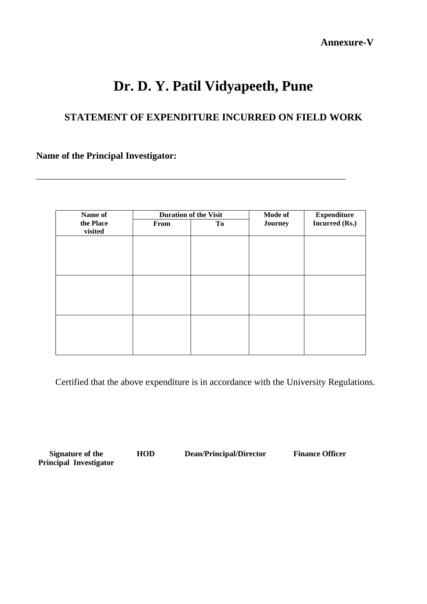**Annexure-V** 

## **Dr. D. Y. Patil Vidyapeeth, Pune**

### **STATEMENT OF EXPENDITURE INCURRED ON FIELD WORK**

\_\_\_\_\_\_\_\_\_\_\_\_\_\_\_\_\_\_\_\_\_\_\_\_\_\_\_\_\_\_\_\_\_\_\_\_\_\_\_\_\_\_\_\_\_\_\_\_\_\_\_\_\_\_\_\_\_\_\_\_\_\_\_\_\_\_\_\_\_\_\_\_

**Name of the Principal Investigator:**

| Name of   |      | <b>Duration of the Visit</b> | Mode of<br><b>Expenditure</b> |                |
|-----------|------|------------------------------|-------------------------------|----------------|
| the Place | From | To                           | Journey                       | Incurred (Rs.) |
| visited   |      |                              |                               |                |
|           |      |                              |                               |                |
|           |      |                              |                               |                |
|           |      |                              |                               |                |
|           |      |                              |                               |                |
|           |      |                              |                               |                |
|           |      |                              |                               |                |
|           |      |                              |                               |                |
|           |      |                              |                               |                |
|           |      |                              |                               |                |
|           |      |                              |                               |                |
|           |      |                              |                               |                |
|           |      |                              |                               |                |
|           |      |                              |                               |                |
|           |      |                              |                               |                |

Certified that the above expenditure is in accordance with the University Regulations.

**Signature of the Principal Investigator**

**HOD Dean/Principal/Director Finance Officer**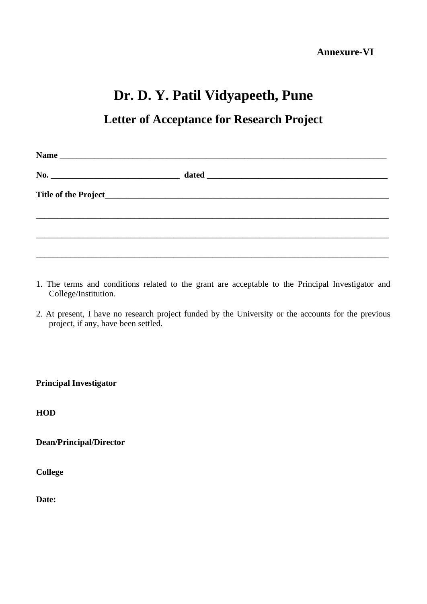### **Letter of Acceptance for Research Project**

| <b>Name</b> |  |
|-------------|--|
|             |  |
|             |  |
|             |  |
|             |  |
|             |  |

- 1. The terms and conditions related to the grant are acceptable to the Principal Investigator and College/Institution.
- 2. At present, I have no research project funded by the University or the accounts for the previous project, if any, have been settled.

**Principal Investigator** 

**HOD**

**Dean/Principal/Director**

**College**

**Date:**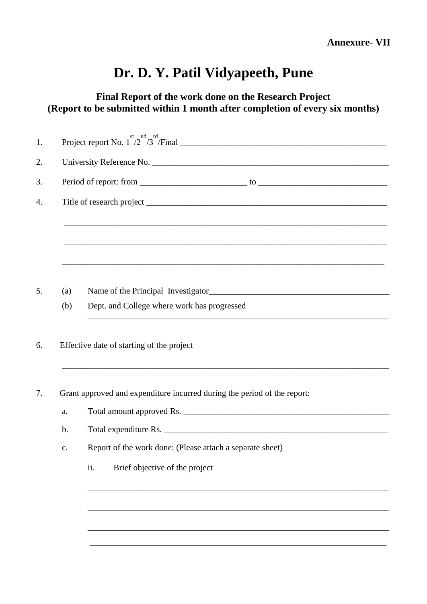**Final Report of the work done on the Research Project (Report to be submitted within 1 month after completion of every six months)**

| 1. |                                                                          |                                                                                   |  |  |
|----|--------------------------------------------------------------------------|-----------------------------------------------------------------------------------|--|--|
| 2. |                                                                          |                                                                                   |  |  |
| 3. |                                                                          |                                                                                   |  |  |
| 4. |                                                                          |                                                                                   |  |  |
|    |                                                                          |                                                                                   |  |  |
|    |                                                                          |                                                                                   |  |  |
|    |                                                                          |                                                                                   |  |  |
| 5. | (a)                                                                      |                                                                                   |  |  |
|    | (b)                                                                      | Dept. and College where work has progressed                                       |  |  |
|    |                                                                          | ,我们也不能在这里的时候,我们也不能在这里的时候,我们也不能会在这里的时候,我们也不能会在这里的时候,我们也不能会在这里的时候,我们也不能会在这里的时候,我们也不 |  |  |
| 6. | Effective date of starting of the project                                |                                                                                   |  |  |
|    |                                                                          | ,我们也不能在这里的时候,我们也不能在这里的时候,我们也不能在这里的时候,我们也不能会在这里的时候,我们也不能会在这里的时候,我们也不能会在这里的时候,我们也不  |  |  |
| 7. | Grant approved and expenditure incurred during the period of the report: |                                                                                   |  |  |
|    | a.                                                                       |                                                                                   |  |  |
|    | $\mathbf b$ .                                                            |                                                                                   |  |  |
|    | c.                                                                       | Report of the work done: (Please attach a separate sheet)                         |  |  |
|    |                                                                          | ii.<br>Brief objective of the project                                             |  |  |
|    |                                                                          |                                                                                   |  |  |
|    |                                                                          |                                                                                   |  |  |
|    |                                                                          |                                                                                   |  |  |

\_\_\_\_\_\_\_\_\_\_\_\_\_\_\_\_\_\_\_\_\_\_\_\_\_\_\_\_\_\_\_\_\_\_\_\_\_\_\_\_\_\_\_\_\_\_\_\_\_\_\_\_\_\_\_\_\_\_\_\_\_\_\_\_\_\_\_\_\_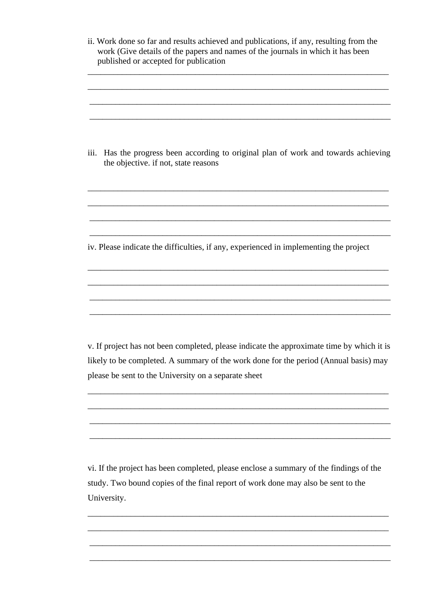| ii. Work done so far and results achieved and publications, if any, resulting from the<br>work (Give details of the papers and names of the journals in which it has been<br>published or accepted for publication |
|--------------------------------------------------------------------------------------------------------------------------------------------------------------------------------------------------------------------|
| Has the progress been according to original plan of work and towards achieving<br>iii.<br>the objective. if not, state reasons                                                                                     |
| iv. Please indicate the difficulties, if any, experienced in implementing the project                                                                                                                              |
| v. If project has not been completed, please indicate the approximate time by which it is                                                                                                                          |
| likely to be completed. A summary of the work done for the period (Annual basis) may<br>please be sent to the University on a separate sheet                                                                       |
|                                                                                                                                                                                                                    |

vi. If the project has been completed, please enclose a summary of the findings of the study. Two bound copies of the final report of work done may also be sent to the University.

\_\_\_\_\_\_\_\_\_\_\_\_\_\_\_\_\_\_\_\_\_\_\_\_\_\_\_\_\_\_\_\_\_\_\_\_\_\_\_\_\_\_\_\_\_\_\_\_\_\_\_\_\_\_\_\_\_\_\_\_\_\_\_\_\_\_\_\_\_\_

\_\_\_\_\_\_\_\_\_\_\_\_\_\_\_\_\_\_\_\_\_\_\_\_\_\_\_\_\_\_\_\_\_\_\_\_\_\_\_\_\_\_\_\_\_\_\_\_\_\_\_\_\_\_\_\_\_\_\_\_\_\_\_\_\_\_\_\_\_\_

\_\_\_\_\_\_\_\_\_\_\_\_\_\_\_\_\_\_\_\_\_\_\_\_\_\_\_\_\_\_\_\_\_\_\_\_\_\_\_\_\_\_\_\_\_\_\_\_\_\_\_\_\_\_\_\_\_\_\_\_\_\_\_\_\_\_\_\_\_\_

\_\_\_\_\_\_\_\_\_\_\_\_\_\_\_\_\_\_\_\_\_\_\_\_\_\_\_\_\_\_\_\_\_\_\_\_\_\_\_\_\_\_\_\_\_\_\_\_\_\_\_\_\_\_\_\_\_\_\_\_\_\_\_\_\_\_\_\_\_\_